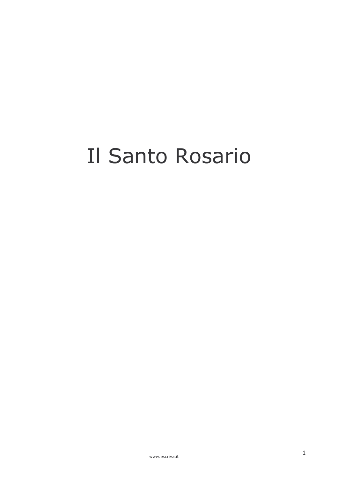# Il Santo Rosario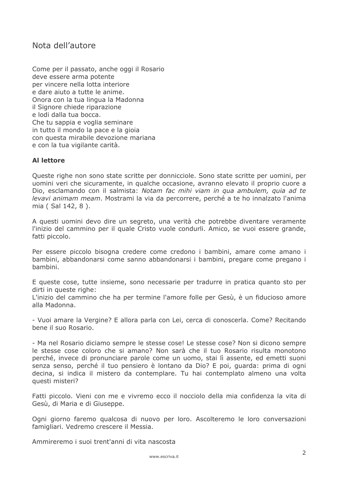#### Nota dell'autore

Come per il passato, anche oggi il Rosario deve essere arma potente per vincere nella lotta interiore e dare aiuto a tutte le anime. Onora con la tua lingua la Madonna il Signore chiede riparazione e lodi dalla tua bocca. Che tu sappia e voglia seminare in tutto il mondo la pace e la gioja con questa mirabile devozione mariana e con la tua vigilante carità.

#### **Al lettore**

Queste righe non sono state scritte per donnicciole. Sono state scritte per uomini, per uomini veri che sicuramente, in qualche occasione, avranno elevato il proprio cuore a Dio, esclamando con il salmista: Notam fac mihi viam in qua ambulem, quia ad te levavi animam meam. Mostrami la via da percorrere, perché a te ho innalzato l'anima mia (Sal 142, 8).

A questi uomini devo dire un segreto, una verità che potrebbe diventare veramente l'inizio del cammino per il quale Cristo vuole condurli. Amico, se vuoi essere grande, fatti piccolo.

Per essere piccolo bisogna credere come credono i bambini, amare come amano i bambini, abbandonarsi come sanno abbandonarsi i bambini, pregare come pregano i hambini.

E queste cose, tutte insieme, sono necessarie per tradurre in pratica quanto sto per dirti in queste righe:

L'inizio del cammino che ha per termine l'amore folle per Gesù, è un fiducioso amore alla Madonna.

- Vuoi amare la Vergine? E allora parla con Lei, cerca di conoscerla. Come? Recitando hene il suo Rosario.

- Ma nel Rosario diciamo sempre le stesse cose! Le stesse cose? Non si dicono sempre le stesse cose coloro che si amano? Non sarà che il tuo Rosario risulta monotono perché, invece di pronunciare parole come un uomo, stai lì assente, ed emetti suoni senza senso, perché il tuo pensiero è lontano da Dio? E poi, quarda: prima di ogni decina, si indica il mistero da contemplare. Tu hai contemplato almeno una volta questi misteri?

Fatti piccolo. Vieni con me e vivremo ecco il nocciolo della mia confidenza la vita di Gesù, di Maria e di Giuseppe.

Ogni giorno faremo qualcosa di nuovo per loro. Ascolteremo le loro conversazioni famigliari, Vedremo crescere il Messia.

Ammireremo i suoi trent'anni di vita nascosta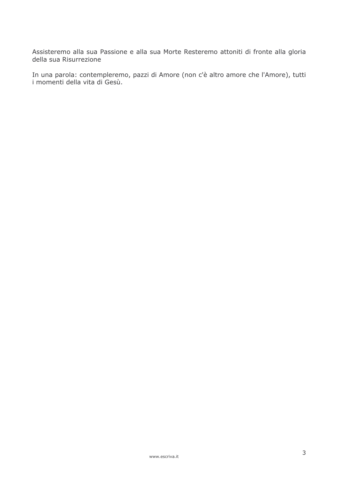Assisteremo alla sua Passione e alla sua Morte Resteremo attoniti di fronte alla gloria della sua Risurrezione

In una parola: contempleremo, pazzi di Amore (non c'è altro amore che l'Amore), tutti i momenti della vita di Gesù.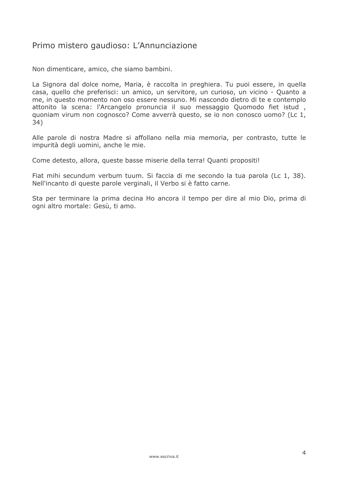# Primo mistero gaudioso: L'Annunciazione

Non dimenticare, amico, che siamo bambini.

La Signora dal dolce nome, Maria, è raccolta in preghiera. Tu puoi essere, in quella casa, quello che preferisci: un amico, un servitore, un curioso, un vicino - Quanto a me, in questo momento non oso essere nessuno. Mi nascondo dietro di te e contemplo attonito la scena: l'Arcangelo pronuncia il suo messaggio Quomodo fiet istud, quoniam virum non cognosco? Come avverrà questo, se io non conosco uomo? (Lc 1, 34)

Alle parole di nostra Madre si affollano nella mia memoria, per contrasto, tutte le impurità degli uomini, anche le mie.

Come detesto, allora, queste basse miserie della terra! Quanti propositi!

Fiat mihi secundum verbum tuum. Si faccia di me secondo la tua parola (Lc 1, 38). Nell'incanto di queste parole verginali, il Verbo si è fatto carne.

Sta per terminare la prima decina Ho ancora il tempo per dire al mio Dio, prima di ogni altro mortale: Gesù, ti amo.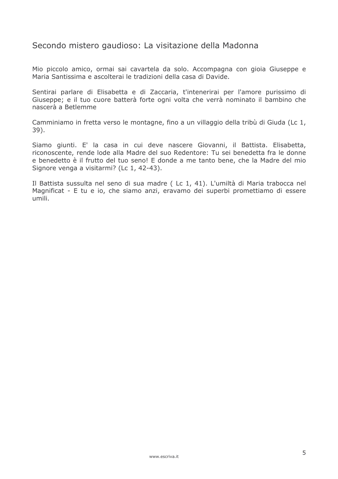#### Secondo mistero gaudioso: La visitazione della Madonna

Mio piccolo amico, ormai sai cavartela da solo. Accompagna con gioia Giuseppe e Maria Santissima e ascolterai le tradizioni della casa di Davide.

Sentirai parlare di Elisabetta e di Zaccaria, t'intenerirai per l'amore purissimo di Giuseppe; e il tuo cuore batterà forte ogni volta che verrà nominato il bambino che nascerà a Betlemme

Camminiamo in fretta verso le montagne, fino a un villaggio della tribù di Giuda (Lc 1, 39).

Siamo giunti. E' la casa in cui deve nascere Giovanni, il Battista. Elisabetta, riconoscente, rende lode alla Madre del suo Redentore: Tu sei benedetta fra le donne e benedetto è il frutto del tuo seno! E donde a me tanto bene, che la Madre del mio Signore venga a visitarmi? (Lc 1, 42-43).

Il Battista sussulta nel seno di sua madre (Lc 1, 41). L'umiltà di Maria trabocca nel Magnificat - E tu e io, che siamo anzi, eravamo dei superbi promettiamo di essere umili.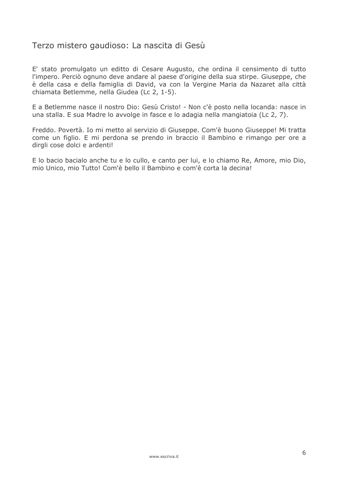#### Terzo mistero gaudioso: La nascita di Gesù

E' stato promulgato un editto di Cesare Augusto, che ordina il censimento di tutto l'impero. Perciò ognuno deve andare al paese d'origine della sua stirpe. Giuseppe, che è della casa e della famiglia di David, va con la Vergine Maria da Nazaret alla città chiamata Betlemme, nella Giudea (Lc 2, 1-5).

E a Betlemme nasce il nostro Dio: Gesù Cristo! - Non c'è posto nella locanda: nasce in una stalla. E sua Madre lo avvolge in fasce e lo adagia nella mangiatoia (Lc 2, 7).

Freddo. Povertà. Io mi metto al servizio di Giuseppe. Com'è buono Giuseppe! Mi tratta come un figlio. E mi perdona se prendo in braccio il Bambino e rimango per ore a dirgli cose dolci e ardenti!

E lo bacio bacialo anche tu e lo cullo, e canto per lui, e lo chiamo Re, Amore, mio Dio, mio Unico, mio Tutto! Com'è bello il Bambino e com'è corta la decina!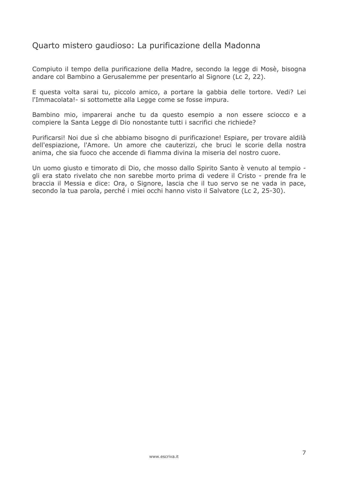# Quarto mistero gaudioso: La purificazione della Madonna

Compiuto il tempo della purificazione della Madre, secondo la legge di Mosè, bisogna andare col Bambino a Gerusalemme per presentarlo al Signore (Lc 2, 22).

E questa volta sarai tu, piccolo amico, a portare la gabbia delle tortore. Vedi? Lei l'Immacolata! - si sottomette alla Legge come se fosse impura.

Bambino mio, imparerai anche tu da questo esempio a non essere sciocco e a compiere la Santa Legge di Dio nonostante tutti i sacrifici che richiede?

Purificarsi! Noi due sì che abbiamo bisogno di purificazione! Espiare, per trovare aldilà dell'espiazione, l'Amore. Un amore che cauterizzi, che bruci le scorie della nostra anima, che sia fuoco che accende di fiamma divina la miseria del nostro cuore.

Un uomo giusto e timorato di Dio, che mosso dallo Spirito Santo è venuto al tempio gli era stato rivelato che non sarebbe morto prima di vedere il Cristo - prende fra le braccia il Messia e dice: Ora, o Signore, lascia che il tuo servo se ne vada in pace, secondo la tua parola, perché i miei occhi hanno visto il Salvatore (Lc 2, 25-30).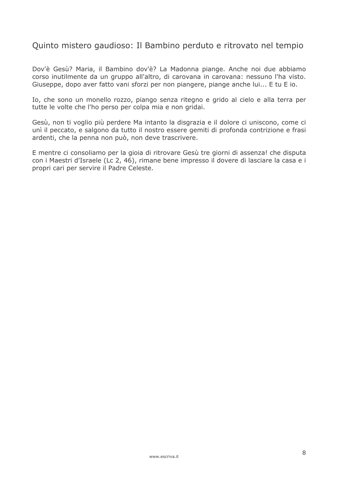#### Quinto mistero gaudioso: Il Bambino perduto e ritrovato nel tempio

Dov'è Gesù? Maria, il Bambino dov'è? La Madonna piange. Anche noi due abbiamo corso inutilmente da un gruppo all'altro, di carovana in carovana: nessuno l'ha visto. Giuseppe, dopo aver fatto vani sforzi per non piangere, piange anche lui... E tu E jo.

Io, che sono un monello rozzo, piango senza ritegno e grido al cielo e alla terra per tutte le volte che l'ho perso per colpa mia e non gridai.

Gesù, non ti voglio più perdere Ma intanto la disgrazia e il dolore ci uniscono, come ci unì il peccato, e salgono da tutto il nostro essere gemiti di profonda contrizione e frasi ardenti, che la penna non può, non deve trascrivere.

E mentre ci consoliamo per la gioia di ritrovare Gesù tre giorni di assenza! che disputa con i Maestri d'Israele (Lc 2, 46), rimane bene impresso il dovere di lasciare la casa e i propri cari per servire il Padre Celeste.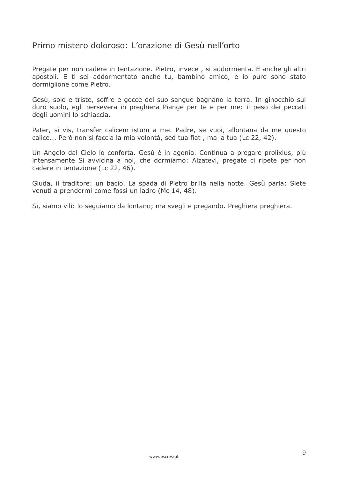#### Primo mistero doloroso: L'orazione di Gesù nell'orto

Pregate per non cadere in tentazione. Pietro, invece, si addormenta. E anche gli altri apostoli. E ti sei addormentato anche tu, bambino amico, e io pure sono stato dormiglione come Pietro.

Gesù, solo e triste, soffre e gocce del suo sangue bagnano la terra. In ginocchio sul duro suolo, egli persevera in preghiera Piange per te e per me: il peso dei peccati degli uomini lo schiaccia.

Pater, si vis, transfer calicem istum a me. Padre, se vuoi, allontana da me questo calice... Però non si faccia la mia volontà, sed tua fiat, ma la tua (Lc 22, 42).

Un Angelo dal Cielo lo conforta. Gesù è in agonia. Continua a pregare prolixius, più intensamente Si avvicina a noi, che dormiamo: Alzatevi, pregate ci ripete per non cadere in tentazione (Lc 22, 46).

Giuda, il traditore: un bacio. La spada di Pietro brilla nella notte. Gesù parla: Siete venuti a prendermi come fossi un ladro (Mc 14, 48).

Sì, siamo vili: lo seguiamo da lontano; ma svegli e pregando. Preghiera preghiera.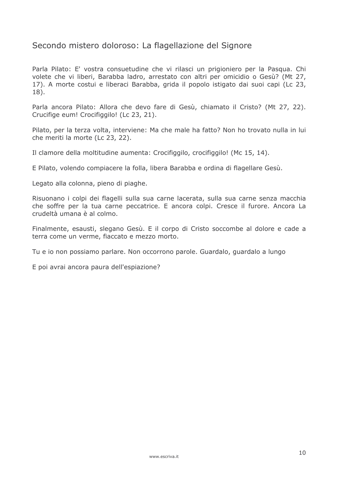# Secondo mistero doloroso: La flagellazione del Signore

Parla Pilato: E' vostra consuetudine che vi rilasci un prigioniero per la Pasqua. Chi volete che vi liberi, Barabba ladro, arrestato con altri per omicidio o Gesù? (Mt 27, 17). A morte costui e liberaci Barabba, grida il popolo istigato dai suoi capi (Lc 23,  $18$ ).

Parla ancora Pilato: Allora che devo fare di Gesù, chiamato il Cristo? (Mt 27, 22). Crucifige eum! Crocifiggilo! (Lc 23, 21).

Pilato, per la terza volta, interviene: Ma che male ha fatto? Non ho trovato nulla in lui che meriti la morte (Lc 23, 22).

Il clamore della moltitudine aumenta: Crocifiggilo, crocifiggilo! (Mc 15, 14).

E Pilato, volendo compiacere la folla, libera Barabba e ordina di flagellare Gesù.

Legato alla colonna, pieno di piaghe.

Risuonano i colpi dei flagelli sulla sua carne lacerata, sulla sua carne senza macchia che soffre per la tua carne peccatrice. E ancora colpi. Cresce il furore. Ancora La crudeltà umana è al colmo.

Finalmente, esausti, slegano Gesù. E il corpo di Cristo soccombe al dolore e cade a terra come un verme, fiaccato e mezzo morto.

Tu e io non possiamo parlare. Non occorrono parole. Guardalo, guardalo a lungo

E poi avrai ancora paura dell'espiazione?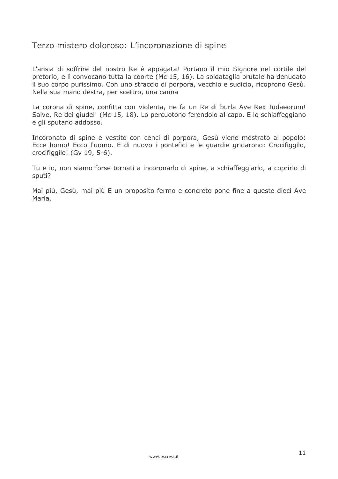#### Terzo mistero doloroso: L'incoronazione di spine

L'ansia di soffrire del nostro Re è appagata! Portano il mio Signore nel cortile del pretorio, e lì convocano tutta la coorte (Mc 15, 16). La soldataglia brutale ha denudato il suo corpo purissimo. Con uno straccio di porpora, vecchio e sudicio, ricoprono Gesù. Nella sua mano destra, per scettro, una canna

La corona di spine, confitta con violenta, ne fa un Re di burla Ave Rex Iudaeorum! Salve, Re dei giudei! (Mc 15, 18). Lo percuotono ferendolo al capo. E lo schiaffeggiano e gli sputano addosso.

Incoronato di spine e vestito con cenci di porpora, Gesù viene mostrato al popolo: Ecce homo! Ecco l'uomo. E di nuovo i pontefici e le guardie gridarono: Crocifiggilo, crocifiggilo! (Gv 19, 5-6).

Tu e io, non siamo forse tornati a incoronarlo di spine, a schiaffeggiarlo, a coprirlo di sputi?

Mai più, Gesù, mai più E un proposito fermo e concreto pone fine a queste dieci Ave Maria.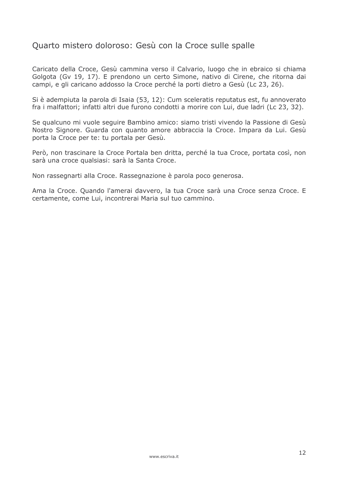# Quarto mistero doloroso: Gesù con la Croce sulle spalle

Caricato della Croce, Gesù cammina verso il Calvario, luogo che in ebraico si chiama Golgota (Gv 19, 17). E prendono un certo Simone, nativo di Cirene, che ritorna dai campi, e gli caricano addosso la Croce perché la porti dietro a Gesù (Lc 23, 26).

Si è adempiuta la parola di Isaia (53, 12): Cum sceleratis reputatus est, fu annoverato fra i malfattori; infatti altri due furono condotti a morire con Lui, due ladri (Lc 23, 32).

Se qualcuno mi vuole seguire Bambino amico: siamo tristi vivendo la Passione di Gesù Nostro Signore. Guarda con quanto amore abbraccia la Croce. Impara da Lui. Gesù porta la Croce per te: tu portala per Gesù.

Però, non trascinare la Croce Portala ben dritta, perché la tua Croce, portata così, non sarà una croce qualsiasi: sarà la Santa Croce.

Non rassegnarti alla Croce. Rassegnazione è parola poco generosa.

Ama la Croce. Quando l'amerai davvero, la tua Croce sarà una Croce senza Croce. E certamente, come Lui, incontrerai Maria sul tuo cammino.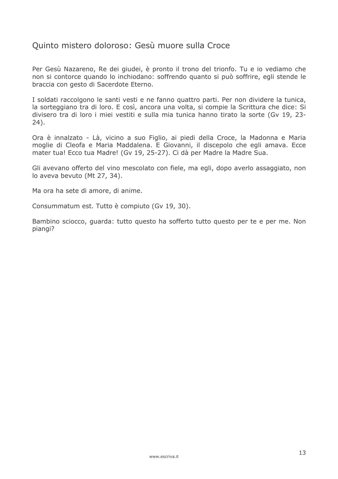#### Quinto mistero doloroso: Gesù muore sulla Croce

Per Gesù Nazareno, Re dei giudei, è pronto il trono del trionfo. Tu e io vediamo che non si contorce quando lo inchiodano: soffrendo quanto si può soffrire, egli stende le braccia con gesto di Sacerdote Eterno.

I soldati raccolgono le santi vesti e ne fanno quattro parti. Per non dividere la tunica, la sorteggiano tra di loro. E così, ancora una volta, si compie la Scrittura che dice: Si divisero tra di loro i miei vestiti e sulla mia tunica hanno tirato la sorte (Gv 19, 23- $24$ ).

Ora è innalzato - Là, vicino a suo Figlio, ai piedi della Croce, la Madonna e Maria moglie di Cleofa e Maria Maddalena. E Giovanni, il discepolo che egli amava. Ecce mater tua! Ecco tua Madre! (Gv 19, 25-27). Ci dà per Madre la Madre Sua.

Gli avevano offerto del vino mescolato con fiele, ma egli, dopo averlo assaggiato, non lo aveva bevuto (Mt 27, 34).

Ma ora ha sete di amore, di anime.

Consummatum est. Tutto è compiuto (Gv 19, 30).

Bambino sciocco, quarda: tutto questo ha sofferto tutto questo per te e per me. Non piangi?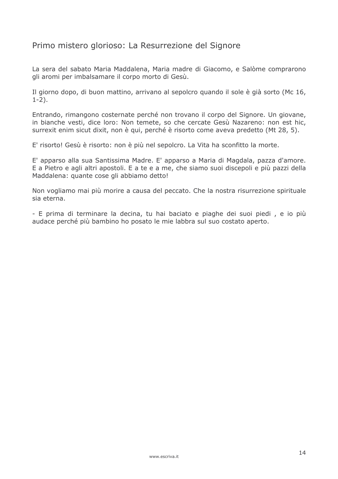# Primo mistero glorioso: La Resurrezione del Signore

La sera del sabato Maria Maddalena, Maria madre di Giacomo, e Salòme comprarono gli aromi per imbalsamare il corpo morto di Gesù.

Il giorno dopo, di buon mattino, arrivano al sepolcro guando il sole è già sorto (Mc 16,  $1-2$ ).

Entrando, rimangono costernate perché non trovano il corpo del Signore. Un giovane, in bianche vesti, dice loro: Non temete, so che cercate Gesù Nazareno: non est hic, surrexit enim sicut dixit, non è qui, perché è risorto come aveva predetto (Mt 28, 5).

E' risorto! Gesù è risorto: non è più nel sepolcro. La Vita ha sconfitto la morte.

E' apparso alla sua Santissima Madre. E' apparso a Maria di Magdala, pazza d'amore. E a Pietro e agli altri apostoli. E a te e a me, che siamo suoi discepoli e più pazzi della Maddalena: quante cose gli abbiamo detto!

Non vogliamo mai più morire a causa del peccato. Che la nostra risurrezione spirituale sia eterna.

- E prima di terminare la decina, tu hai baciato e piaghe dei suoi piedi, e io più audace perché più bambino ho posato le mie labbra sul suo costato aperto.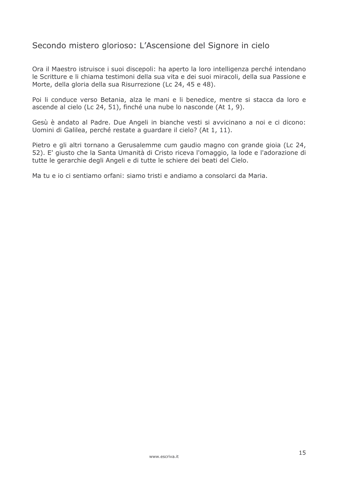# Secondo mistero glorioso: L'Ascensione del Signore in cielo

Ora il Maestro istruisce i suoi discepoli: ha aperto la loro intelligenza perché intendano le Scritture e li chiama testimoni della sua vita e dei suoi miracoli, della sua Passione e Morte, della gloria della sua Risurrezione (Lc 24, 45 e 48).

Poi li conduce verso Betania, alza le mani e li benedice, mentre si stacca da loro e ascende al cielo (Lc 24, 51), finché una nube lo nasconde (At 1, 9).

Gesù è andato al Padre. Due Angeli in bianche vesti si avvicinano a noi e ci dicono: Uomini di Galilea, perché restate a quardare il cielo? (At 1, 11).

Pietro e gli altri tornano a Gerusalemme cum gaudio magno con grande gioia (Lc 24, 52). E' giusto che la Santa Umanità di Cristo riceva l'omaggio, la lode e l'adorazione di tutte le gerarchie degli Angeli e di tutte le schiere dei beati del Cielo.

Ma tu e jo ci sentiamo orfani: siamo tristi e andiamo a consolarci da Maria.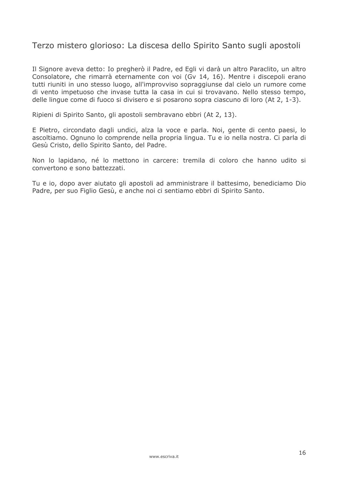# Terzo mistero glorioso: La discesa dello Spirito Santo sugli apostoli

Il Signore aveva detto: Io pregherò il Padre, ed Egli vi darà un altro Paraclito, un altro Consolatore, che rimarrà eternamente con voi (Gv 14, 16). Mentre i discepoli erano tutti riuniti in uno stesso luogo, all'improvviso sopraggiunse dal cielo un rumore come di vento impetuoso che invase tutta la casa in cui si trovavano. Nello stesso tempo, delle lingue come di fuoco si divisero e si posarono sopra ciascuno di loro (At 2, 1-3).

Ripieni di Spirito Santo, gli apostoli sembravano ebbri (At 2, 13).

E Pietro, circondato dagli undici, alza la voce e parla. Noi, gente di cento paesi, lo ascoltiamo. Ognuno lo comprende nella propria lingua. Tu e io nella nostra. Ci parla di Gesù Cristo, dello Spirito Santo, del Padre.

Non lo lapidano, né lo mettono in carcere: tremila di coloro che hanno udito si convertono e sono battezzati

Tu e io, dopo aver aiutato gli apostoli ad amministrare il battesimo, benediciamo Dio Padre, per suo Figlio Gesù, e anche noi ci sentiamo ebbri di Spirito Santo.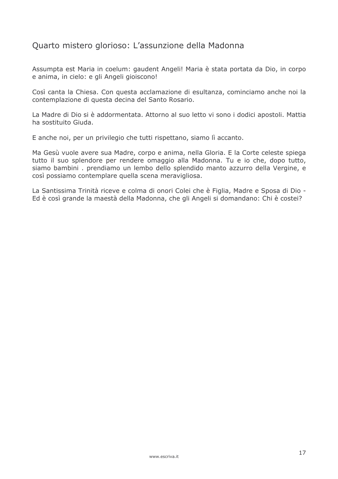# Quarto mistero glorioso: L'assunzione della Madonna

Assumpta est Maria in coelum: gaudent Angeli! Maria è stata portata da Dio, in corpo e anima, in cielo: e gli Angeli gioiscono!

Così canta la Chiesa. Con questa acclamazione di esultanza, cominciamo anche noi la contemplazione di questa decina del Santo Rosario.

La Madre di Dio si è addormentata. Attorno al suo letto vi sono i dodici apostoli. Mattia ha sostituito Giuda.

E anche noi, per un privilegio che tutti rispettano, siamo lì accanto.

Ma Gesù vuole avere sua Madre, corpo e anima, nella Gloria. E la Corte celeste spiega tutto il suo splendore per rendere omaggio alla Madonna. Tu e io che, dopo tutto, siamo bambini . prendiamo un lembo dello splendido manto azzurro della Vergine, e così possiamo contemplare quella scena meravigliosa.

La Santissima Trinità riceve e colma di onori Colei che è Figlia, Madre e Sposa di Dio -Ed è così grande la maestà della Madonna, che gli Angeli si domandano: Chi è costei?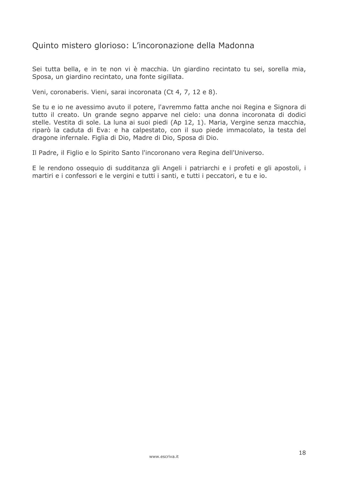## Quinto mistero glorioso: L'incoronazione della Madonna

Sei tutta bella, e in te non vi è macchia. Un giardino recintato tu sei, sorella mia, Sposa, un giardino recintato, una fonte sigillata.

Veni, coronaberis. Vieni, sarai incoronata (Ct 4, 7, 12 e 8).

Se tu e io ne avessimo avuto il potere, l'avremmo fatta anche noi Regina e Signora di tutto il creato. Un grande segno apparve nel cielo: una donna incoronata di dodici stelle. Vestita di sole. La luna ai suoi piedi (Ap 12, 1). Maria, Vergine senza macchia, riparò la caduta di Eva: e ha calpestato, con il suo piede immacolato, la testa del dragone infernale. Figlia di Dio, Madre di Dio, Sposa di Dio.

Il Padre, il Figlio e lo Spirito Santo l'incoronano vera Regina dell'Universo.

E le rendono osseguio di sudditanza gli Angeli i patriarchi e i profeti e gli apostoli, i martiri e i confessori e le vergini e tutti i santi, e tutti i peccatori, e tu e io.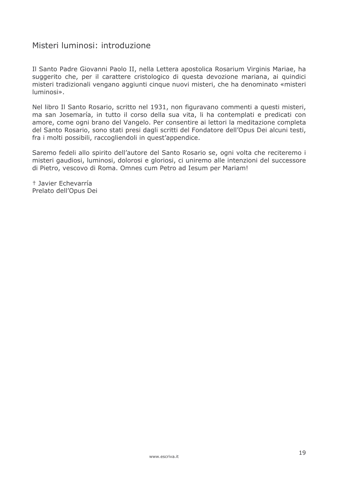# Misteri luminosi: introduzione

Il Santo Padre Giovanni Paolo II, nella Lettera apostolica Rosarium Virginis Mariae, ha suggerito che, per il carattere cristologico di guesta devozione mariana, ai quindici misteri tradizionali vengano aggiunti cinque nuovi misteri, che ha denominato «misteri luminosi».

Nel libro Il Santo Rosario, scritto nel 1931, non figuravano commenti a questi misteri, ma san Josemaría, in tutto il corso della sua vita, li ha contemplati e predicati con amore, come ogni brano del Vangelo. Per consentire ai lettori la meditazione completa del Santo Rosario, sono stati presi dagli scritti del Fondatore dell'Opus Dei alcuni testi, fra i molti possibili, raccogliendoli in quest'appendice.

Saremo fedeli allo spirito dell'autore del Santo Rosario se, ogni volta che reciteremo i misteri gaudiosi, luminosi, dolorosi e gloriosi, ci uniremo alle intenzioni del successore di Pietro, vescovo di Roma. Omnes cum Petro ad Iesum per Mariam!

† Javier Echevarría Prelato dell'Opus Dei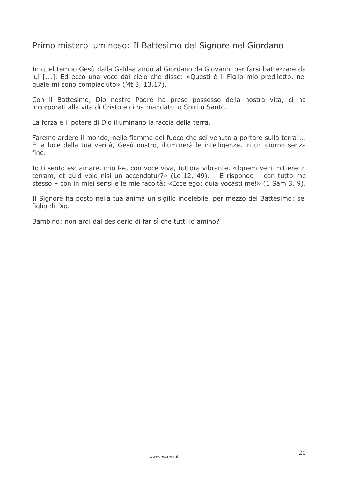# Primo mistero luminoso: Il Battesimo del Signore nel Giordano

In quel tempo Gesù dalla Galilea andò al Giordano da Giovanni per farsi battezzare da lui [...]. Ed ecco una voce dal cielo che disse: «Questi è il Figlio mio prediletto, nel quale mi sono compiaciuto» (Mt 3, 13.17).

Con il Battesimo, Dio nostro Padre ha preso possesso della nostra vita, ci ha incorporati alla vita di Cristo e ci ha mandato lo Spirito Santo.

La forza e il potere di Dio illuminano la faccia della terra.

Faremo ardere il mondo, nelle fiamme del fuoco che sei venuto a portare sulla terra!... E la luce della tua verità, Gesù nostro, illuminerà le intelligenze, in un giorno senza fine.

Io ti sento esclamare, mio Re, con voce viva, tuttora vibrante. «Ignem veni mittere in terram, et quid volo nisi un accendatur?» (Lc 12, 49). - E rispondo - con tutto me stesso - con in miei sensi e le mie facoltà: «Ecce ego: quia vocasti me!» (1 Sam 3, 9).

Il Signore ha posto nella tua anima un sigillo indelebile, per mezzo del Battesimo: sei figlio di Dio.

Bambino: non ardi dal desiderio di far sì che tutti lo amino?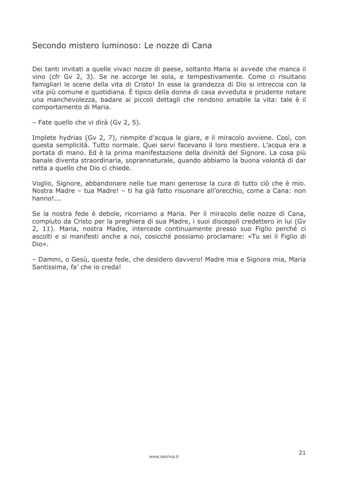#### Secondo mistero luminoso: Le nozze di Cana

Dei tanti invitati a quelle vivaci nozze di paese, soltanto Maria si avvede che manca il vino (cfr Gv 2, 3). Se ne accorge lei sola, e tempestivamente. Come ci risultano famigliari le scene della vita di Cristo! In esse la grandezza di Dio si intreccia con la vita più comune e quotidiana. È tipico della donna di casa avveduta e prudente notare una manchevolezza, badare ai piccoli dettagli che rendono amabile la vita: tale è il comportamento di Maria.

- Fate quello che vi dirà (Gy 2, 5).

Implete hydrias (Gv 2, 7), riempite d'acqua le giare, e il miracolo avviene. Così, con guesta semplicità. Tutto normale. Quei servi facevano il loro mestiere. L'acqua era a portata di mano. Ed è la prima manifestazione della divinità del Signore. La cosa più banale diventa straordinaria, soprannaturale, quando abbiamo la buona volontà di dar retta a quello che Dio ci chiede.

Voglio, Signore, abbandonare nelle tue mani generose la cura di tutto ciò che è mio. Nostra Madre - tua Madre! - ti ha già fatto risuonare all'orecchio, come a Cana: non  $hanno!...$ 

Se la nostra fede è debole, ricorriamo a Maria, Per il miracolo delle nozze di Cana, compiuto da Cristo per la preghiera di sua Madre, i suoi discepoli credettero in lui (Gv 2, 11). Maria, nostra Madre, intercede continuamente presso suo Figlio perché ci ascolti e si manifesti anche a noi, cosicché possiamo proclamare: «Tu sei il Figlio di Dio».

- Dammi, o Gesù, questa fede, che desidero davvero! Madre mia e Signora mia, Maria Santissima, fa' che io creda!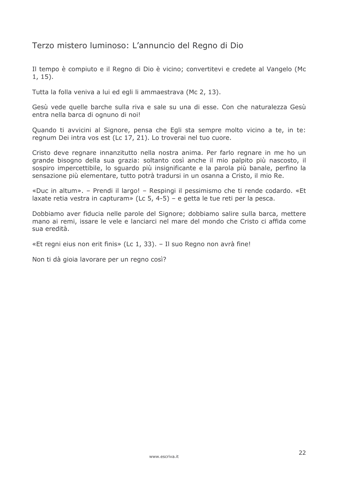# Terzo mistero luminoso: L'annuncio del Regno di Dio

Il tempo è compiuto e il Regno di Dio è vicino; convertitevi e credete al Vangelo (Mc  $1, 15$ ).

Tutta la folla veniva a lui ed egli li ammaestrava (Mc 2, 13).

Gesù vede quelle barche sulla riva e sale su una di esse. Con che naturalezza Gesù entra nella barca di ognuno di noi!

Quando ti avvicini al Signore, pensa che Egli sta sempre molto vicino a te, in te: regnum Dei intra vos est (Lc 17, 21). Lo troverai nel tuo cuore.

Cristo deve regnare innanzitutto nella nostra anima. Per farlo regnare in me ho un grande bisogno della sua grazia: soltanto così anche il mio palpito più nascosto, il sospiro impercettibile, lo squardo più insignificante e la parola più banale, perfino la sensazione più elementare, tutto potrà tradursi in un osanna a Cristo, il mio Re.

«Duc in altum». – Prendi il largo! – Respingi il pessimismo che ti rende codardo. «Et laxate retia vestra in capturam» (Lc 5, 4-5) – e getta le tue reti per la pesca.

Dobbiamo aver fiducia nelle parole del Signore; dobbiamo salire sulla barca, mettere mano ai remi, issare le vele e lanciarci nel mare del mondo che Cristo ci affida come sua eredità

«Et regni eius non erit finis» (Lc 1, 33). - Il suo Regno non avrà fine!

Non ti dà gioja lavorare per un regno così?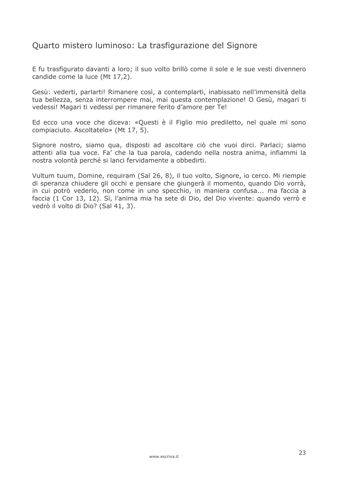# Quarto mistero luminoso: La trasfigurazione del Signore

E fu trasfigurato davanti a loro; il suo volto brillò come il sole e le sue vesti divennero candide come la luce (Mt 17,2).

Gesù: vederti, parlarti! Rimanere così, a contemplarti, inabissato nell'immensità della tua bellezza, senza interrompere mai, mai questa contemplazione! O Gesù, magari ti vedessi! Magari ti vedessi per rimanere ferito d'amore per Te!

Ed ecco una voce che diceva: «Questi è il Figlio mio prediletto, nel quale mi sono compiaciuto. Ascoltatelo» (Mt 17, 5).

Signore nostro, siamo qua, disposti ad ascoltare ciò che vuoi dirci. Parlaci; siamo attenti alla tua voce. Fa' che la tua parola, cadendo nella nostra anima, infiammi la nostra volontà perché si lanci fervidamente a obbedirti.

Vultum tuum, Domine, requiram (Sal 26, 8), il tuo volto, Signore, io cerco. Mi riempie di speranza chiudere gli occhi e pensare che giungerà il momento, quando Dio vorrà, in cui potrò vederlo, non come in uno specchio, in maniera confusa... ma faccia a faccia (1 Cor 13, 12). Sì, l'anima mia ha sete di Dio, del Dio vivente: quando verrò e vedrò il volto di Dio? (Sal 41, 3).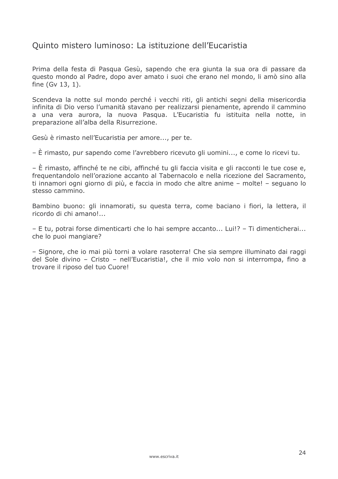# Quinto mistero luminoso: La istituzione dell'Eucaristia

Prima della festa di Pasqua Gesù, sapendo che era giunta la sua ora di passare da questo mondo al Padre, dopo aver amato i suoi che erano nel mondo, li amò sino alla fine (Gv 13, 1).

Scendeva la notte sul mondo perché i vecchi riti, gli antichi segni della misericordia infinita di Dio verso l'umanità stavano per realizzarsi pienamente, aprendo il cammino a una vera aurora, la nuova Pasqua. L'Eucaristia fu istituita nella notte, in preparazione all'alba della Risurrezione.

Gesù è rimasto nell'Eucaristia per amore..., per te.

 $-\hat{E}$  rimasto, pur sapendo come l'avrebbero ricevuto gli uomini..., e come lo ricevi tu.

– È rimasto, affinché te ne cibi, affinché tu gli faccia visita e gli racconti le tue cose e, frequentandolo nell'orazione accanto al Tabernacolo e nella ricezione del Sacramento, ti innamori ogni giorno di più, e faccia in modo che altre anime - molte! - seguano lo stesso cammino.

Bambino buono: gli innamorati, su questa terra, come baciano i fiori, la lettera, il ricordo di chi amano!...

- E tu, potrai forse dimenticarti che lo hai sempre accanto... Lui!? - Ti dimenticherai... che lo puoi mangiare?

- Signore, che io mai più torni a volare rasoterra! Che sia sempre illuminato dai raggi del Sole divino - Cristo - nell'Eucaristia!, che il mio volo non si interrompa, fino a trovare il riposo del tuo Cuore!